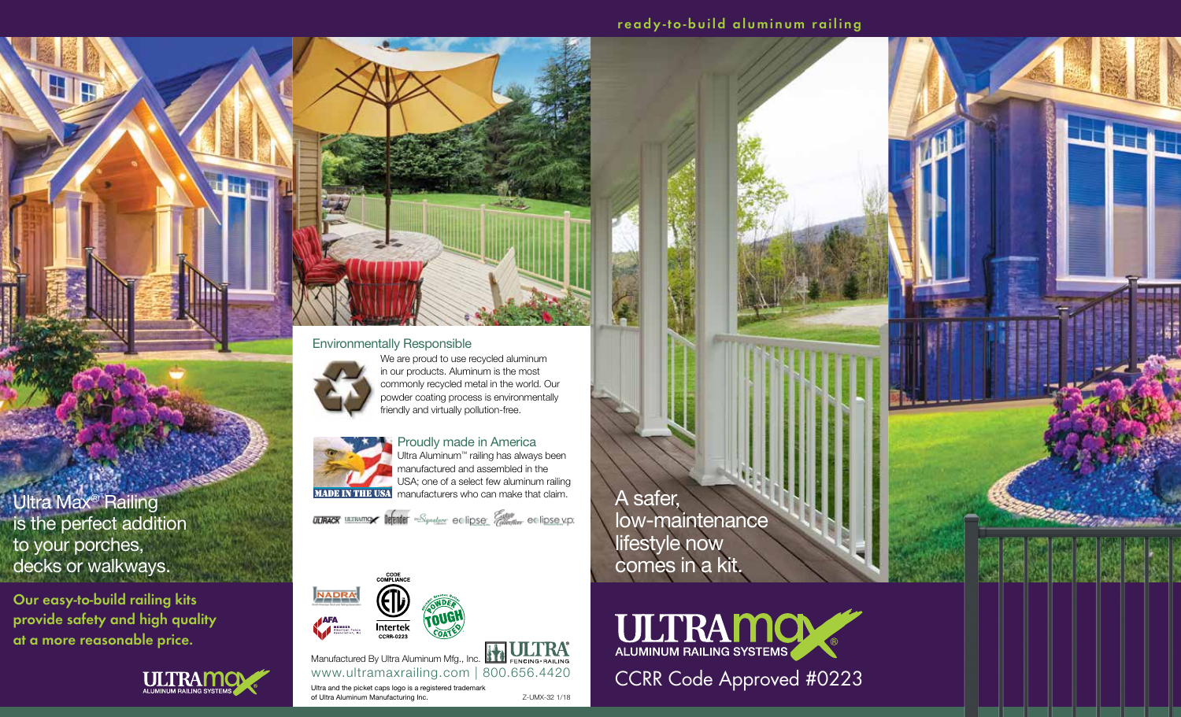<u> Link</u>

,,,,,,

#### Environmentally Responsible



We are proud to use recycled aluminum in our products. Aluminum is the most commonly recycled metal in the world. Our powder coating process is environmentally friendly and virtually pollution-free.



Proudly made in America Ultra Aluminum™ railing has always been manufactured and assembled in the USA; one of a select few aluminum railing **MADE IN THE USA** manufacturers who can make that claim.

**ULIRACK** WIRNING **IRENDE** Signature eclipse *Compa*re eclipse vp.



www.ultramaxrailing.com | 800.656.4420 Z-UMX-32 1/18 Manufactured By Ultra Aluminum Mfg., Inc. **HALLICK** Ultra and the picket caps logo is a registered trademark of Ultra Aluminum Manufacturing Inc.

A safer, low-maintenance lifestyle now comes in a kit.



Ultra Max® Railing is the perfect addition to your porches, decks or walkways.

**Our easy-to-build railing kits provide safety and high quality at a more reasonable price.** 



i ar i